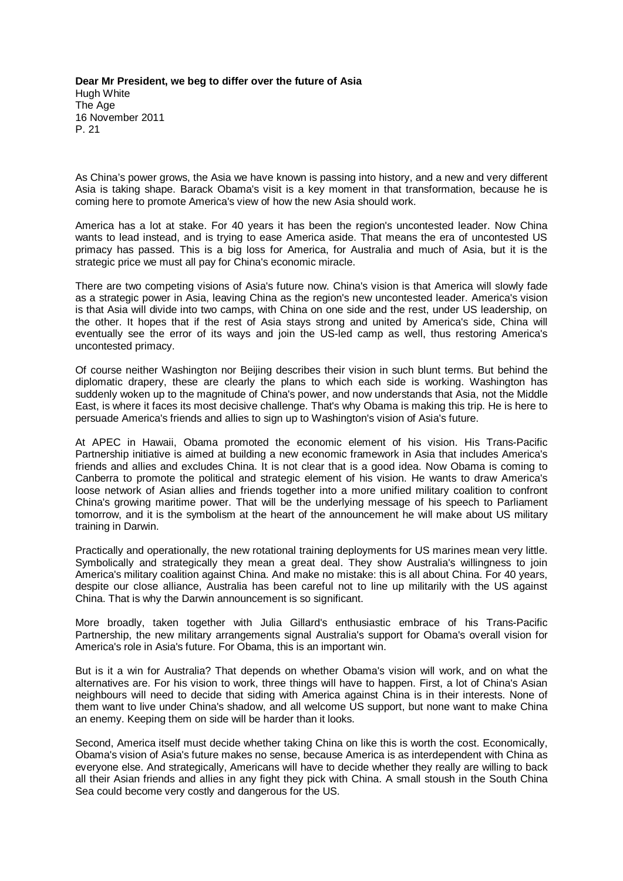**Dear Mr President, we beg to differ over the future of Asia** Hugh White The Age 16 November 2011 P. 21

As China's power grows, the Asia we have known is passing into history, and a new and very different Asia is taking shape. Barack Obama's visit is a key moment in that transformation, because he is coming here to promote America's view of how the new Asia should work.

America has a lot at stake. For 40 years it has been the region's uncontested leader. Now China wants to lead instead, and is trying to ease America aside. That means the era of uncontested US primacy has passed. This is a big loss for America, for Australia and much of Asia, but it is the strategic price we must all pay for China's economic miracle.

There are two competing visions of Asia's future now. China's vision is that America will slowly fade as a strategic power in Asia, leaving China as the region's new uncontested leader. America's vision is that Asia will divide into two camps, with China on one side and the rest, under US leadership, on the other. It hopes that if the rest of Asia stays strong and united by America's side, China will eventually see the error of its ways and join the US-led camp as well, thus restoring America's uncontested primacy.

Of course neither Washington nor Beijing describes their vision in such blunt terms. But behind the diplomatic drapery, these are clearly the plans to which each side is working. Washington has suddenly woken up to the magnitude of China's power, and now understands that Asia, not the Middle East, is where it faces its most decisive challenge. That's why Obama is making this trip. He is here to persuade America's friends and allies to sign up to Washington's vision of Asia's future.

At APEC in Hawaii, Obama promoted the economic element of his vision. His Trans-Pacific Partnership initiative is aimed at building a new economic framework in Asia that includes America's friends and allies and excludes China. It is not clear that is a good idea. Now Obama is coming to Canberra to promote the political and strategic element of his vision. He wants to draw America's loose network of Asian allies and friends together into a more unified military coalition to confront China's growing maritime power. That will be the underlying message of his speech to Parliament tomorrow, and it is the symbolism at the heart of the announcement he will make about US military training in Darwin.

Practically and operationally, the new rotational training deployments for US marines mean very little. Symbolically and strategically they mean a great deal. They show Australia's willingness to join America's military coalition against China. And make no mistake: this is all about China. For 40 years, despite our close alliance, Australia has been careful not to line up militarily with the US against China. That is why the Darwin announcement is so significant.

More broadly, taken together with Julia Gillard's enthusiastic embrace of his Trans-Pacific Partnership, the new military arrangements signal Australia's support for Obama's overall vision for America's role in Asia's future. For Obama, this is an important win.

But is it a win for Australia? That depends on whether Obama's vision will work, and on what the alternatives are. For his vision to work, three things will have to happen. First, a lot of China's Asian neighbours will need to decide that siding with America against China is in their interests. None of them want to live under China's shadow, and all welcome US support, but none want to make China an enemy. Keeping them on side will be harder than it looks.

Second, America itself must decide whether taking China on like this is worth the cost. Economically, Obama's vision of Asia's future makes no sense, because America is as interdependent with China as everyone else. And strategically, Americans will have to decide whether they really are willing to back all their Asian friends and allies in any fight they pick with China. A small stoush in the South China Sea could become very costly and dangerous for the US.